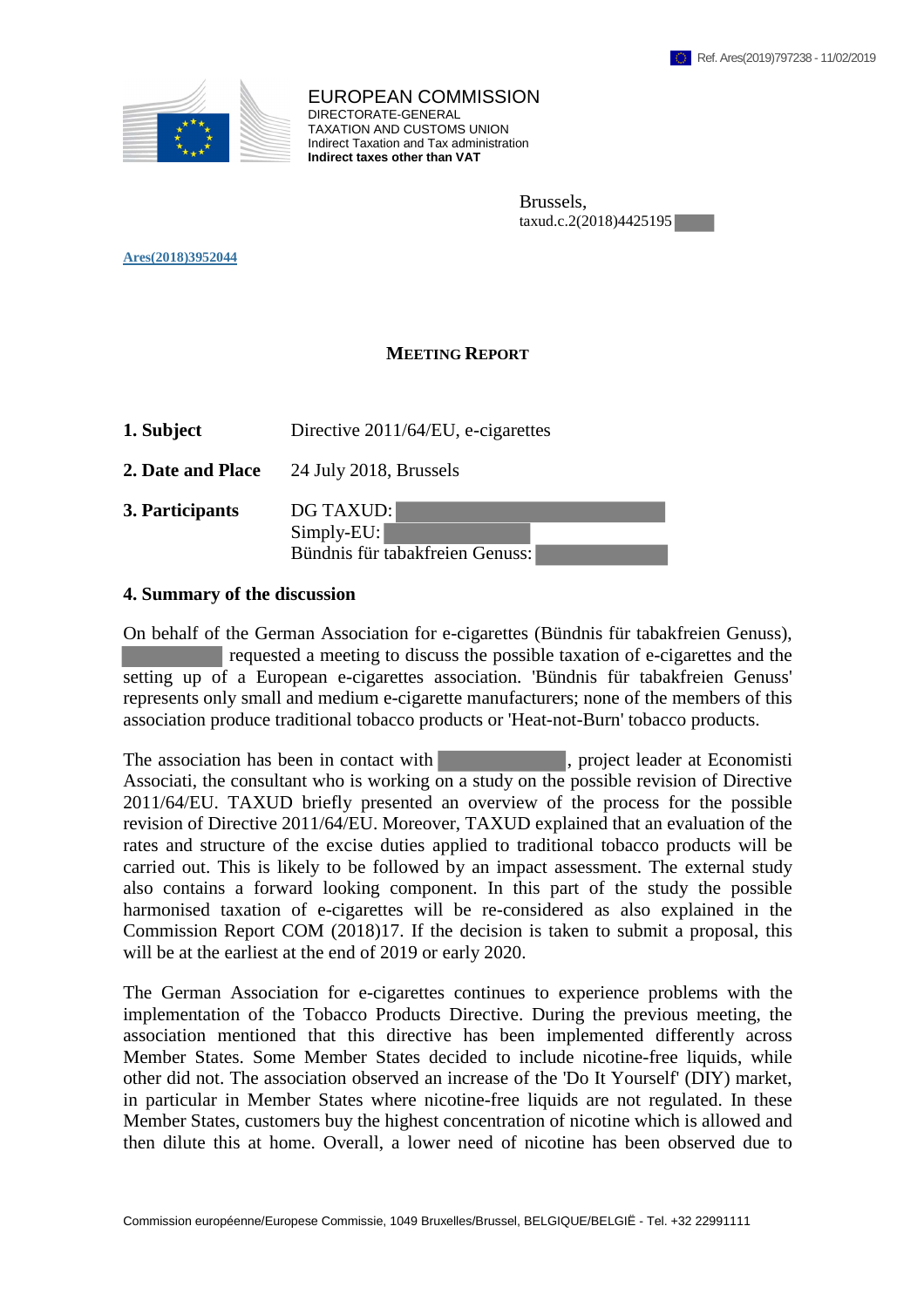

EUROPEAN COMMISSION DIRECTORATE-GENERAL TAXATION AND CUSTOMS UNION Indirect Taxation and Tax administration **Indirect taxes other than VAT**

> Brussels, taxud.c.2(2018)4425195

**Ares(2018)3952044** 

## **MEETING REPORT**

- **1. Subject** Directive 2011/64/EU, e-cigarettes
- **2. Date and Place** 24 July 2018, Brussels
- **3. Participants** DG TAXUD:

Simply-EU: Bündnis für tabakfreien Genuss:

## **4. Summary of the discussion**

On behalf of the German Association for e-cigarettes (Bündnis für tabakfreien Genuss), requested a meeting to discuss the possible taxation of e-cigarettes and the setting up of a European e-cigarettes association. 'Bündnis für tabakfreien Genuss' represents only small and medium e-cigarette manufacturers; none of the members of this association produce traditional tobacco products or 'Heat-not-Burn' tobacco products.

The association has been in contact with , project leader at Economisti Associati, the consultant who is working on a study on the possible revision of Directive 2011/64/EU. TAXUD briefly presented an overview of the process for the possible revision of Directive 2011/64/EU. Moreover, TAXUD explained that an evaluation of the rates and structure of the excise duties applied to traditional tobacco products will be carried out. This is likely to be followed by an impact assessment. The external study also contains a forward looking component. In this part of the study the possible harmonised taxation of e-cigarettes will be re-considered as also explained in the Commission Report COM (2018)17. If the decision is taken to submit a proposal, this will be at the earliest at the end of 2019 or early 2020.

The German Association for e-cigarettes continues to experience problems with the implementation of the Tobacco Products Directive. During the previous meeting, the association mentioned that this directive has been implemented differently across Member States. Some Member States decided to include nicotine-free liquids, while other did not. The association observed an increase of the 'Do It Yourself' (DIY) market, in particular in Member States where nicotine-free liquids are not regulated. In these Member States, customers buy the highest concentration of nicotine which is allowed and then dilute this at home. Overall, a lower need of nicotine has been observed due to